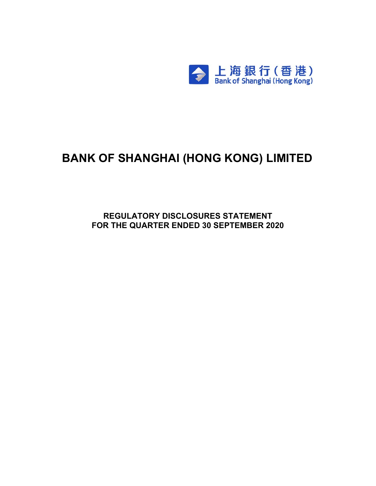

# **BANK OF SHANGHAI (HONG KONG) LIMITED**

**REGULATORY DISCLOSURES STATEMENT FOR THE QUARTER ENDED 30 SEPTEMBER 2020**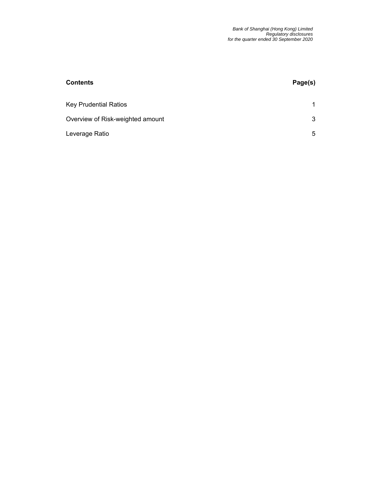| <b>Contents</b>                  | Page(s) |
|----------------------------------|---------|
| <b>Key Prudential Ratios</b>     | 1       |
| Overview of Risk-weighted amount | 3       |
| Leverage Ratio                   | 5       |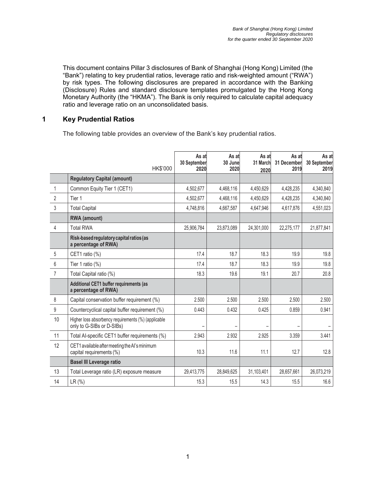This document contains Pillar 3 disclosures of Bank of Shanghai (Hong Kong) Limited (the "Bank") relating to key prudential ratios, leverage ratio and risk-weighted amount ("RWA") by risk types. The following disclosures are prepared in accordance with the Banking (Disclosure) Rules and standard disclosure templates promulgated by the Hong Kong Monetary Authority (the "HKMA"). The Bank is only required to calculate capital adequacy ratio and leverage ratio on an unconsolidated basis.

#### **1 Key Prudential Ratios**

The following table provides an overview of the Bank's key prudential ratios.

|                | HK\$'000                                                                         | As at<br>30 September<br>2020 | As at<br>30 June<br>2020 | As at<br>31 March<br>2020 | As at<br>31 December<br>2019 | As at<br>30 September<br>2019 |
|----------------|----------------------------------------------------------------------------------|-------------------------------|--------------------------|---------------------------|------------------------------|-------------------------------|
|                | <b>Regulatory Capital (amount)</b>                                               |                               |                          |                           |                              |                               |
| $\mathbf{1}$   | Common Equity Tier 1 (CET1)                                                      | 4,502,677                     | 4,468,116                | 4,450,629                 | 4,428,235                    | 4,340,840                     |
| $\overline{2}$ | Tier 1                                                                           | 4,502,677                     | 4,468,116                | 4,450,629                 | 4,428,235                    | 4,340,840                     |
| 3              | <b>Total Capital</b>                                                             | 4,748,816                     | 4.667.587                | 4.647.946                 | 4,617,876                    | 4,551,023                     |
|                | <b>RWA</b> (amount)                                                              |                               |                          |                           |                              |                               |
| 4              | <b>Total RWA</b>                                                                 | 25,906,784                    | 23,873,089               | 24,301,000                | 22,275,177                   | 21,877,841                    |
|                | Risk-based regulatory capital ratios (as<br>a percentage of RWA)                 |                               |                          |                           |                              |                               |
| 5              | CET1 ratio (%)                                                                   | 17.4                          | 18.7                     | 18.3                      | 19.9                         | 19.8                          |
| 6              | Tier 1 ratio (%)                                                                 | 17.4                          | 18.7                     | 18.3                      | 19.9                         | 19.8                          |
| $\overline{7}$ | Total Capital ratio (%)                                                          | 18.3                          | 19.6                     | 19.1                      | 20.7                         | 20.8                          |
|                | Additional CET1 buffer requirements (as<br>a percentage of RWA)                  |                               |                          |                           |                              |                               |
| 8              | Capital conservation buffer requirement (%)                                      | 2.500                         | 2.500                    | 2.500                     | 2.500                        | 2.500                         |
| 9              | Countercyclical capital buffer requirement (%)                                   | 0.443                         | 0.432                    | 0.425                     | 0.859                        | 0.941                         |
| 10             | Higher loss absorbency requirements (%) (applicable<br>only to G-SIBs or D-SIBs) |                               |                          |                           |                              |                               |
| 11             | Total Al-specific CET1 buffer requirements (%)                                   | 2.943                         | 2.932                    | 2.925                     | 3.359                        | 3.441                         |
| 12             | CET1 available after meeting the AI's minimum<br>capital requirements (%)        | 10.3                          | 11.6                     | 11.1                      | 12.7                         | 12.8                          |
|                | <b>Basel III Leverage ratio</b>                                                  |                               |                          |                           |                              |                               |
| 13             | Total Leverage ratio (LR) exposure measure                                       | 29,413,775                    | 28,849,625               | 31,103,401                | 28,657,661                   | 26,073,219                    |
| 14             | LR(%)                                                                            | 15.3                          | 15.5                     | 14.3                      | 15.5                         | 16.6                          |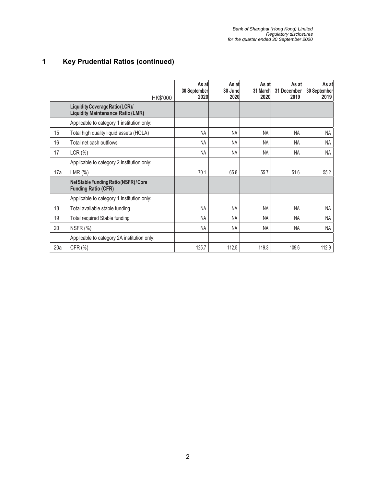## **1 Key Prudential Ratios (continued)**

|     | HK\$'000                                                                    | As at<br>30 September<br>2020 | As at<br>30 June<br>2020 | As at<br>31 March<br>2020 | As at<br>31 December<br>2019 | As at<br>30 September<br>2019 |
|-----|-----------------------------------------------------------------------------|-------------------------------|--------------------------|---------------------------|------------------------------|-------------------------------|
|     | Liquidity Coverage Ratio (LCR)/<br><b>Liquidity Maintenance Ratio (LMR)</b> |                               |                          |                           |                              |                               |
|     | Applicable to category 1 institution only:                                  |                               |                          |                           |                              |                               |
| 15  | Total high quality liquid assets (HQLA)                                     | <b>NA</b>                     | <b>NA</b>                | <b>NA</b>                 | <b>NA</b>                    | NA                            |
| 16  | Total net cash outflows                                                     | <b>NA</b>                     | <b>NA</b>                | <b>NA</b>                 | <b>NA</b>                    | <b>NA</b>                     |
| 17  | LCR(%)                                                                      | <b>NA</b>                     | <b>NA</b>                | <b>NA</b>                 | <b>NA</b>                    | <b>NA</b>                     |
|     | Applicable to category 2 institution only:                                  |                               |                          |                           |                              |                               |
| 17a | $LMR$ $(\%)$                                                                | 70.1                          | 65.8                     | 55.7                      | 51.6                         | 55.2                          |
|     | Net Stable Funding Ratio (NSFR) / Core<br><b>Funding Ratio (CFR)</b>        |                               |                          |                           |                              |                               |
|     | Applicable to category 1 institution only:                                  |                               |                          |                           |                              |                               |
| 18  | Total available stable funding                                              | <b>NA</b>                     | <b>NA</b>                | NA                        | <b>NA</b>                    | <b>NA</b>                     |
| 19  | Total required Stable funding                                               | <b>NA</b>                     | <b>NA</b>                | <b>NA</b>                 | <b>NA</b>                    | <b>NA</b>                     |
| 20  | NSFR (%)                                                                    | <b>NA</b>                     | NA                       | NA                        | <b>NA</b>                    | <b>NA</b>                     |
|     | Applicable to category 2A institution only:                                 |                               |                          |                           |                              |                               |
| 20a | CFR (%)                                                                     | 125.7                         | 112.5                    | 119.3                     | 109.6                        | 112.9                         |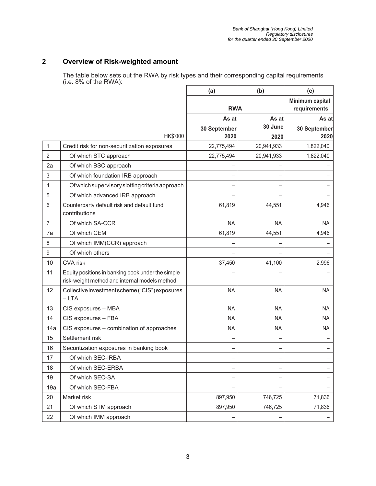#### **2 Overview of Risk-weighted amount**

The table below sets out the RWA by risk types and their corresponding capital requirements (i.e. 8% of the RWA):

|                |                                                                                                    | (a)          | (b)                             | (c)          |
|----------------|----------------------------------------------------------------------------------------------------|--------------|---------------------------------|--------------|
|                |                                                                                                    | <b>RWA</b>   | Minimum capital<br>requirements |              |
|                |                                                                                                    | As at        | As at                           |              |
|                |                                                                                                    | 30 September | 30 June                         | 30 September |
|                | HK\$'000                                                                                           | 2020         | 2020                            | 2020         |
| 1              | Credit risk for non-securitization exposures                                                       | 22,775,494   | 20,941,933                      | 1,822,040    |
| $\overline{2}$ | Of which STC approach                                                                              | 22,775,494   | 20,941,933                      | 1,822,040    |
| 2a             | Of which BSC approach                                                                              |              |                                 |              |
| 3              | Of which foundation IRB approach                                                                   |              |                                 |              |
| 4              | Of which supervisory slotting criteria approach                                                    |              |                                 |              |
| 5              | Of which advanced IRB approach                                                                     |              |                                 |              |
| 6              | Counterparty default risk and default fund<br>contributions                                        | 61,819       | 44,551                          | 4,946        |
| $\overline{7}$ | Of which SA-CCR                                                                                    | <b>NA</b>    | <b>NA</b>                       | <b>NA</b>    |
| 7a             | Of which CEM                                                                                       | 61,819       | 44,551                          | 4,946        |
| 8              | Of which IMM(CCR) approach                                                                         |              |                                 |              |
| $9\,$          | Of which others                                                                                    |              |                                 |              |
| 10             | <b>CVA</b> risk                                                                                    | 37,450       | 41,100                          | 2,996        |
| 11             | Equity positions in banking book under the simple<br>risk-weight method and internal models method |              |                                 |              |
| 12             | Collective investment scheme ("CIS") exposures<br>$-LTA$                                           | <b>NA</b>    | <b>NA</b>                       | <b>NA</b>    |
| 13             | CIS exposures - MBA                                                                                | <b>NA</b>    | <b>NA</b>                       | <b>NA</b>    |
| 14             | CIS exposures - FBA                                                                                | <b>NA</b>    | <b>NA</b>                       | <b>NA</b>    |
| 14a            | CIS exposures - combination of approaches                                                          | <b>NA</b>    | <b>NA</b>                       | <b>NA</b>    |
| 15             | Settlement risk                                                                                    |              |                                 |              |
| 16             | Securitization exposures in banking book                                                           |              |                                 |              |
| 17             | Of which SEC-IRBA                                                                                  |              |                                 |              |
| 18             | Of which SEC-ERBA                                                                                  |              |                                 |              |
| 19             | Of which SEC-SA                                                                                    |              |                                 |              |
| 19a            | Of which SEC-FBA                                                                                   |              |                                 |              |
| 20             | Market risk                                                                                        | 897,950      | 746,725                         | 71,836       |
| 21             | Of which STM approach                                                                              | 897,950      | 746,725                         | 71,836       |
| 22             | Of which IMM approach                                                                              |              |                                 |              |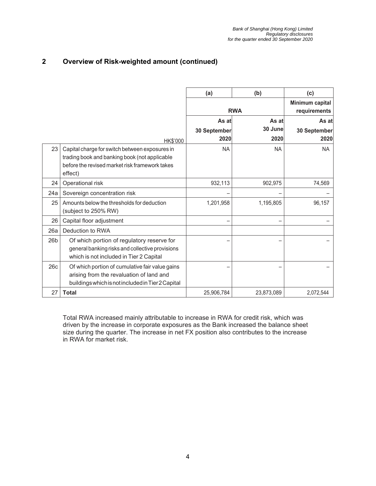#### **2 Overview of Risk-weighted amount (continued)**

|     |                                                                                                                                                              | (a)          | (b)                             | (c)          |
|-----|--------------------------------------------------------------------------------------------------------------------------------------------------------------|--------------|---------------------------------|--------------|
|     |                                                                                                                                                              | <b>RWA</b>   | Minimum capital<br>requirements |              |
|     |                                                                                                                                                              | As at        | As at                           | As at        |
|     |                                                                                                                                                              | 30 September | 30 June                         | 30 September |
|     | HK\$'000                                                                                                                                                     | 2020         | 2020                            | 2020         |
| 23  | Capital charge for switch between exposures in<br>trading book and banking book (not applicable<br>before the revised market risk framework takes<br>effect) | <b>NA</b>    | <b>NA</b>                       | <b>NA</b>    |
| 24  | Operational risk                                                                                                                                             | 932,113      | 902.975                         | 74,569       |
| 24a | Sovereign concentration risk                                                                                                                                 |              |                                 |              |
| 25  | Amounts below the thresholds for deduction<br>(subject to 250% RW)                                                                                           | 1,201,958    | 1,195,805                       | 96,157       |
| 26  | Capital floor adjustment                                                                                                                                     |              |                                 |              |
| 26a | Deduction to RWA                                                                                                                                             |              |                                 |              |
| 26b | Of which portion of regulatory reserve for<br>general banking risks and collective provisions<br>which is not included in Tier 2 Capital                     |              |                                 |              |
| 26c | Of which portion of cumulative fair value gains<br>arising from the revaluation of land and<br>buildings which is not included in Tier 2 Capital             |              |                                 |              |
| 27  | <b>Total</b>                                                                                                                                                 | 25,906,784   | 23,873,089                      | 2,072,544    |

Total RWA increased mainly attributable to increase in RWA for credit risk, which was driven by the increase in corporate exposures as the Bank increased the balance sheet size during the quarter. The increase in net FX position also contributes to the increase in RWA for market risk.